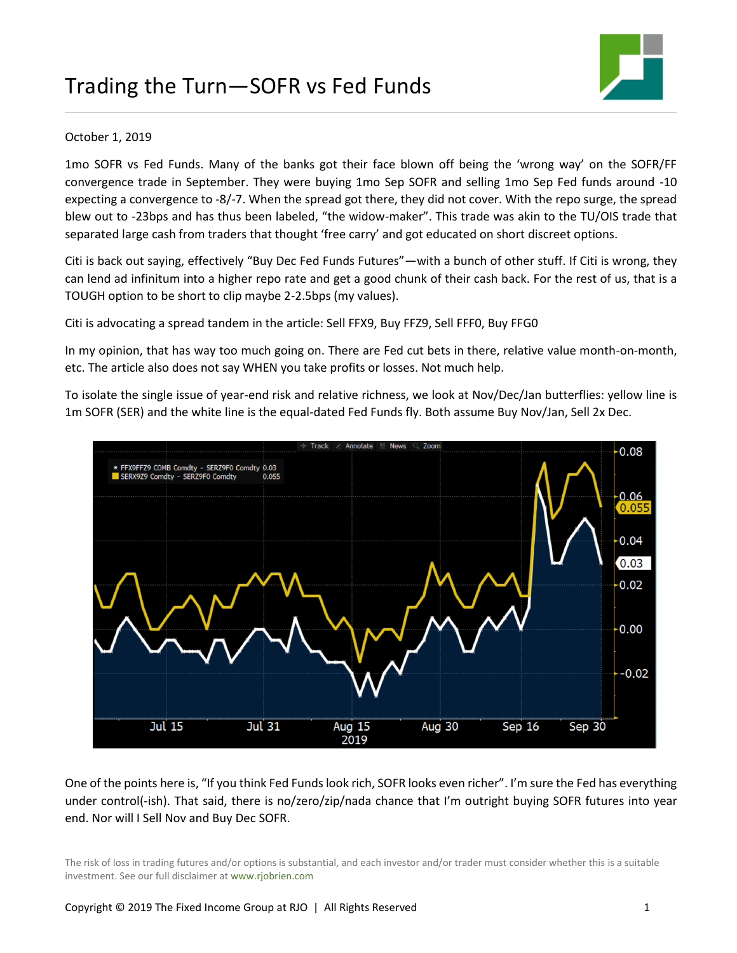

## October 1, 2019

1mo SOFR vs Fed Funds. Many of the banks got their face blown off being the 'wrong way' on the SOFR/FF convergence trade in September. They were buying 1mo Sep SOFR and selling 1mo Sep Fed funds around -10 expecting a convergence to -8/-7. When the spread got there, they did not cover. With the repo surge, the spread blew out to -23bps and has thus been labeled, "the widow-maker". This trade was akin to the TU/OIS trade that separated large cash from traders that thought 'free carry' and got educated on short discreet options.

Citi is back out saying, effectively "Buy Dec Fed Funds Futures"—with a bunch of other stuff. If Citi is wrong, they can lend ad infinitum into a higher repo rate and get a good chunk of their cash back. For the rest of us, that is a TOUGH option to be short to clip maybe 2-2.5bps (my values).

Citi is advocating a spread tandem in the article: Sell FFX9, Buy FFZ9, Sell FFF0, Buy FFG0

In my opinion, that has way too much going on. There are Fed cut bets in there, relative value month-on-month, etc. The article also does not say WHEN you take profits or losses. Not much help.

To isolate the single issue of year-end risk and relative richness, we look at Nov/Dec/Jan butterflies: yellow line is 1m SOFR (SER) and the white line is the equal-dated Fed Funds fly. Both assume Buy Nov/Jan, Sell 2x Dec.



One of the points here is, "If you think Fed Funds look rich, SOFR looks even richer". I'm sure the Fed has everything under control(-ish). That said, there is no/zero/zip/nada chance that I'm outright buying SOFR futures into year end. Nor will I Sell Nov and Buy Dec SOFR.

The risk of loss in trading futures and/or options is substantial, and each investor and/or trader must consider whether this is a suitable investment. See our full disclaimer at www.rjobrien.com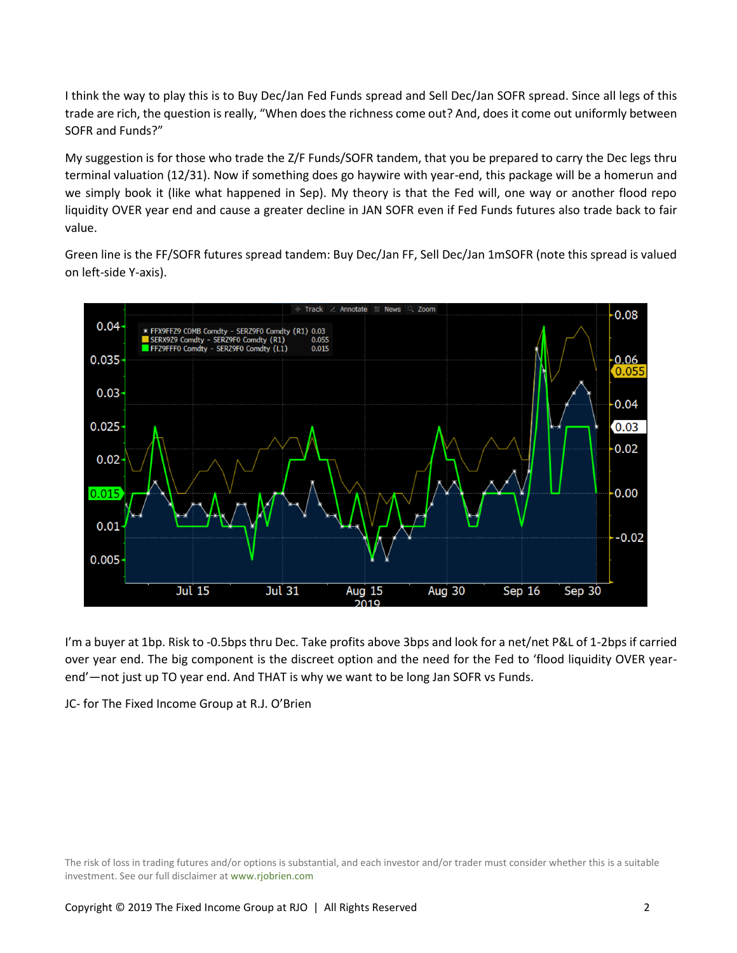I think the way to play this is to Buy Dec/Jan Fed Funds spread and Sell Dec/Jan SOFR spread. Since all legs of this trade are rich, the question is really, "When does the richness come out? And, does it come out uniformly between SOFR and Funds?"

My suggestion is for those who trade the Z/F Funds/SOFR tandem, that you be prepared to carry the Dec legs thru terminal valuation (12/31). Now if something does go haywire with year-end, this package will be a homerun and we simply book it (like what happened in Sep). My theory is that the Fed will, one way or another flood repo liquidity OVER year end and cause a greater decline in JAN SOFR even if Fed Funds futures also trade back to fair value.

Green line is the FF/SOFR futures spread tandem: Buy Dec/Jan FF, Sell Dec/Jan 1mSOFR (note this spread is valued on left-side Y-axis).



I'm a buyer at 1bp. Risk to -0.5bps thru Dec. Take profits above 3bps and look for a net/net P&L of 1-2bps if carried over year end. The big component is the discreet option and the need for the Fed to 'flood liquidity OVER yearend'—not just up TO year end. And THAT is why we want to be long Jan SOFR vs Funds.

JC- for The Fixed Income Group at R.J. O'Brien

The risk of loss in trading futures and/or options is substantial, and each investor and/or trader must consider whether this is a suitable investment. See our full disclaimer at www.rjobrien.com